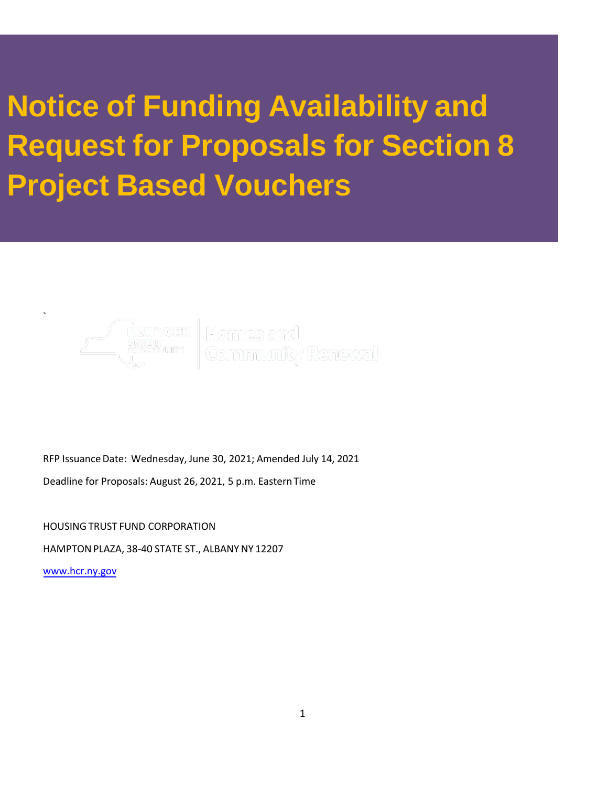# **Notice of Funding Availability and Request for Proposals for Section 8 Project Based Vouchers**



RFP Issuance Date: Wednesday, June 30, 2021; Amended July 14, 2021

Deadline for Proposals: August 26, 2021, 5 p.m. Eastern Time

HOUSING TRUST FUND CORPORATION

HAMPTON PLAZA, 38-40 STATE ST., ALBANY NY 12207

[www.hcr.ny.gov](http://www.hcr.ny.gov/)

`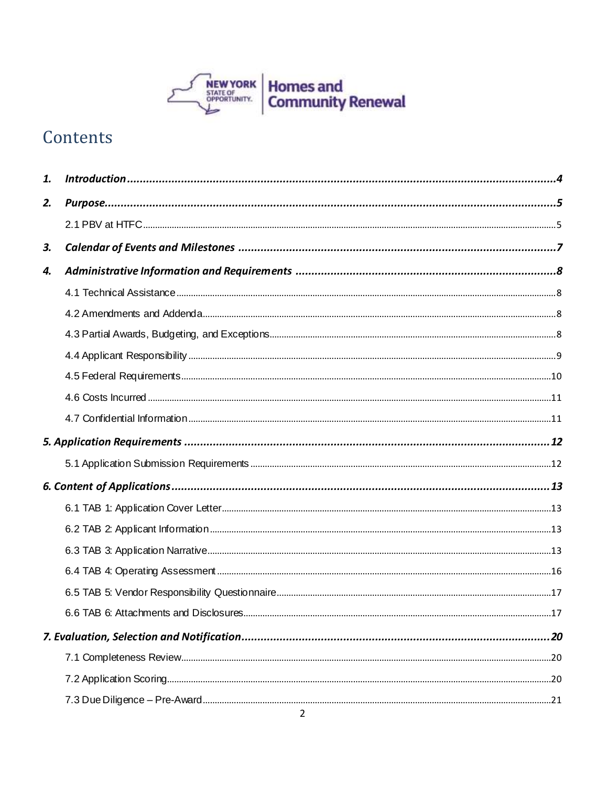

# Contents

| 1. |                                         |     |
|----|-----------------------------------------|-----|
| 2. |                                         |     |
|    |                                         |     |
| 3. |                                         |     |
| 4. |                                         |     |
|    |                                         |     |
|    |                                         |     |
|    |                                         |     |
|    |                                         |     |
|    |                                         |     |
|    |                                         |     |
|    |                                         |     |
|    |                                         |     |
|    |                                         |     |
|    |                                         |     |
|    |                                         |     |
|    |                                         |     |
|    |                                         |     |
|    |                                         |     |
|    |                                         |     |
|    | 6.6 TAB 6: Attachments and Disclosures. | .17 |
|    |                                         |     |
|    |                                         |     |
|    |                                         |     |
|    |                                         |     |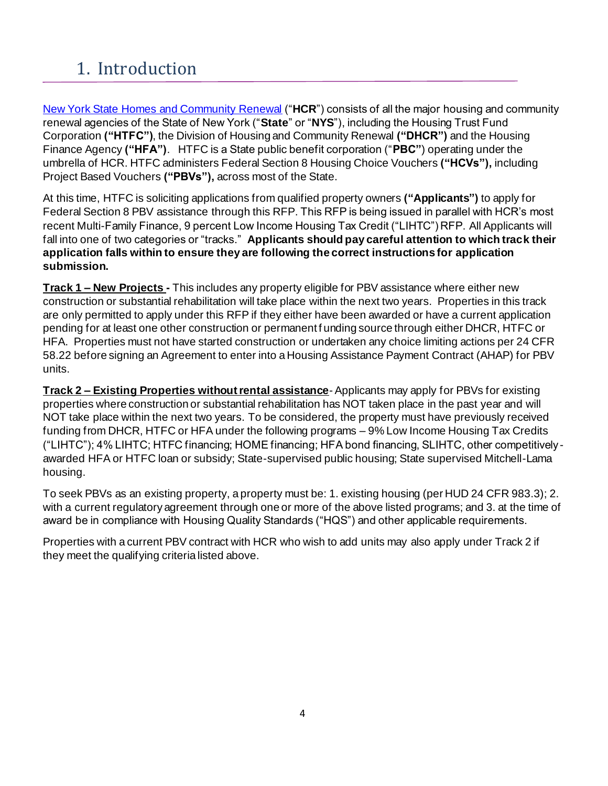# <span id="page-3-0"></span>1. Introduction

[New York State Homes and Community Renewal](http://www.nyshcr.org/) ("**HCR**") consists of all the major housing and community renewal agencies of the State of New York ("**State**" or "**NYS**"), including the Housing Trust Fund Corporation **("HTFC")**, the Division of Housing and Community Renewal **("DHCR")** and the Housing Finance Agency **("HFA")**. HTFC is a State public benefit corporation ("**PBC"**) operating under the umbrella of HCR. HTFC administers Federal Section 8 Housing Choice Vouchers **("HCVs"),** including Project Based Vouchers **("PBVs"),** across most of the State.

At this time, HTFC is soliciting applications from qualified property owners **("Applicants")** to apply for Federal Section 8 PBV assistance through this RFP. This RFP is being issued in parallel with HCR's most recent Multi-Family Finance, 9 percent Low Income Housing Tax Credit ("LIHTC") RFP. All Applicants will fall into one of two categories or "tracks." **Applicants should pay careful attention to which track their application falls within to ensure they are following the correct instructions for application submission.** 

**Track 1 – New Projects -** This includes any property eligible for PBV assistance where either new construction or substantial rehabilitation will take place within the next two years. Properties in this track are only permitted to apply under this RFP if they either have been awarded or have a current application pending for at least one other construction or permanent f unding source through either DHCR, HTFC or HFA. Properties must not have started construction or undertaken any choice limiting actions per 24 CFR 58.22 before signing an Agreement to enter into a Housing Assistance Payment Contract (AHAP) for PBV units.

**Track 2 – Existing Properties without rental assistance**- Applicants may apply for PBVs for existing properties where construction or substantial rehabilitation has NOT taken place in the past year and will NOT take place within the next two years. To be considered, the property must have previously received funding from DHCR, HTFC or HFA under the following programs – 9% Low Income Housing Tax Credits ("LIHTC"); 4% LIHTC; HTFC financing; HOME financing; HFA bond financing, SLIHTC, other competitivelyawarded HFA or HTFC loan or subsidy; State-supervised public housing; State supervised Mitchell-Lama housing.

To seek PBVs as an existing property, a property must be: 1. existing housing (per HUD 24 CFR 983.3); 2. with a current regulatory agreement through one or more of the above listed programs; and 3. at the time of award be in compliance with Housing Quality Standards ("HQS") and other applicable requirements.

Properties with a current PBV contract with HCR who wish to add units may also apply under Track 2 if they meet the qualifying criteria listed above.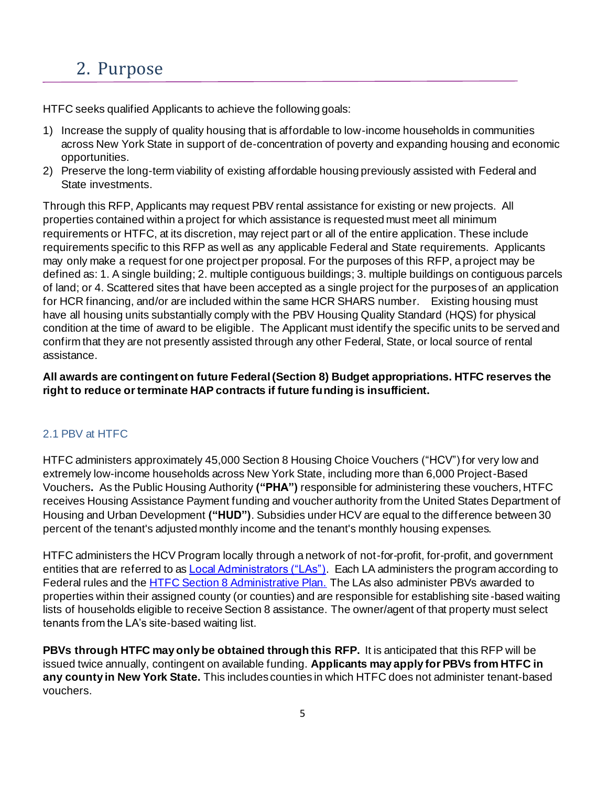# <span id="page-4-0"></span>2. Purpose

HTFC seeks qualified Applicants to achieve the following goals:

- 1) Increase the supply of quality housing that is affordable to low-income households in communities across New York State in support of de-concentration of poverty and expanding housing and economic opportunities.
- 2) Preserve the long-term viability of existing affordable housing previously assisted with Federal and State investments.

Through this RFP, Applicants may request PBV rental assistance for existing or new projects. All properties contained within a project for which assistance is requested must meet all minimum requirements or HTFC, at its discretion, may reject part or all of the entire application. These include requirements specific to this RFP as well as any applicable Federal and State requirements. Applicants may only make a request for one project per proposal. For the purposes of this RFP, a project may be defined as: 1. A single building; 2. multiple contiguous buildings; 3. multiple buildings on contiguous parcels of land; or 4. Scattered sites that have been accepted as a single project for the purposes of an application for HCR financing, and/or are included within the same HCR SHARS number. Existing housing must have all housing units substantially comply with the PBV Housing Quality Standard (HQS) for physical condition at the time of award to be eligible. The Applicant must identify the specific units to be served and confirm that they are not presently assisted through any other Federal, State, or local source of rental assistance.

# **All awards are contingent on future Federal (Section 8) Budget appropriations. HTFC reserves the right to reduce or terminate HAP contracts if future funding is insufficient.**

# <span id="page-4-1"></span>2.1 PBV at HTFC

HTFC administers approximately 45,000 Section 8 Housing Choice Vouchers ("HCV") for very low and extremely low-income households across New York State, including more than 6,000 Project-Based Vouchers**.** As the Public Housing Authority **("PHA")** responsible for administering these vouchers, HTFC receives Housing Assistance Payment funding and voucher authority from the United States Department of Housing and Urban Development **("HUD")**. Subsidies under HCV are equal to the difference between 30 percent of the tenant's adjusted monthly income and the tenant's monthly housing expenses.

HTFC administers the HCV Program locally through a network of not-for-profit, for-profit, and government entities that are referred to as **Local Administrators ("LAs")**. Each LA administers the program according to Federal rules and the **HTFC Section 8 Administrative Plan.** The LAs also administer PBVs awarded to properties within their assigned county (or counties) and are responsible for establishing site-based waiting lists of households eligible to receive Section 8 assistance. The owner/agent of that property must select tenants from the LA's site-based waiting list.

**PBVs through HTFC may only be obtained through this RFP.** It is anticipated that this RFP will be issued twice annually, contingent on available funding. **Applicants may apply for PBVs from HTFC in any county in New York State.** This includes counties in which HTFC does not administer tenant-based vouchers.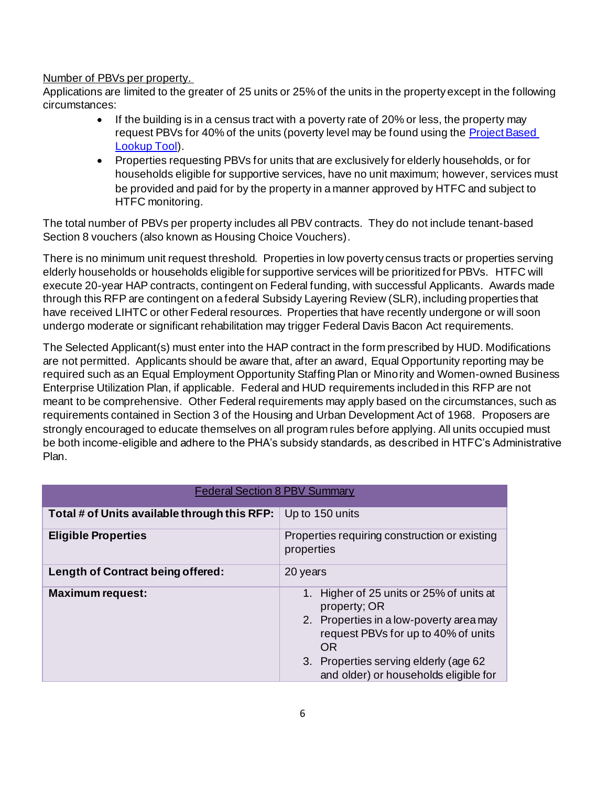#### Number of PBVs per property.

Applications are limited to the greater of 25 units or 25% of the units in the property except in the following circumstances:

- If the building is in a census tract with a poverty rate of 20% or less, the property may request PBVs for 40% of the units (poverty level may be found using the **Project Based** [Lookup Tool](https://www.huduser.gov/portal/maps/hcv/home.html)).
- Properties requesting PBVs for units that are exclusively for elderly households, or for households eligible for supportive services, have no unit maximum; however, services must be provided and paid for by the property in a manner approved by HTFC and subject to HTFC monitoring.

The total number of PBVs per property includes all PBV contracts. They do not include tenant-based Section 8 vouchers (also known as Housing Choice Vouchers).

There is no minimum unit request threshold. Properties in low poverty census tracts or properties serving elderly households or households eligible for supportive services will be prioritized for PBVs. HTFC will execute 20-year HAP contracts, contingent on Federal funding, with successful Applicants. Awards made through this RFP are contingent on a federal Subsidy Layering Review (SLR), including properties that have received LIHTC or other Federal resources. Properties that have recently undergone or will soon undergo moderate or significant rehabilitation may trigger Federal Davis Bacon Act requirements.

The Selected Applicant(s) must enter into the HAP contract in the form prescribed by HUD. Modifications are not permitted. Applicants should be aware that, after an award, Equal Opportunity reporting may be required such as an Equal Employment Opportunity Staffing Plan or Minority and Women-owned Business Enterprise Utilization Plan, if applicable. Federal and HUD requirements included in this RFP are not meant to be comprehensive. Other Federal requirements may apply based on the circumstances, such as requirements contained in Section 3 of the Housing and Urban Development Act of 1968. Proposers are strongly encouraged to educate themselves on all program rules before applying. All units occupied must be both income-eligible and adhere to the PHA's subsidy standards, as described in HTFC's Administrative Plan.

| <b>Federal Section 8 PBV Summary</b>         |                                                                                                                                                                                                                                   |  |
|----------------------------------------------|-----------------------------------------------------------------------------------------------------------------------------------------------------------------------------------------------------------------------------------|--|
| Total # of Units available through this RFP: | Up to 150 units                                                                                                                                                                                                                   |  |
| <b>Eligible Properties</b>                   | Properties requiring construction or existing<br>properties                                                                                                                                                                       |  |
| Length of Contract being offered:            | 20 years                                                                                                                                                                                                                          |  |
| <b>Maximum request:</b>                      | Higher of 25 units or 25% of units at<br>property; OR<br>2. Properties in a low-poverty area may<br>request PBVs for up to 40% of units<br>OR.<br>3. Properties serving elderly (age 62)<br>and older) or households eligible for |  |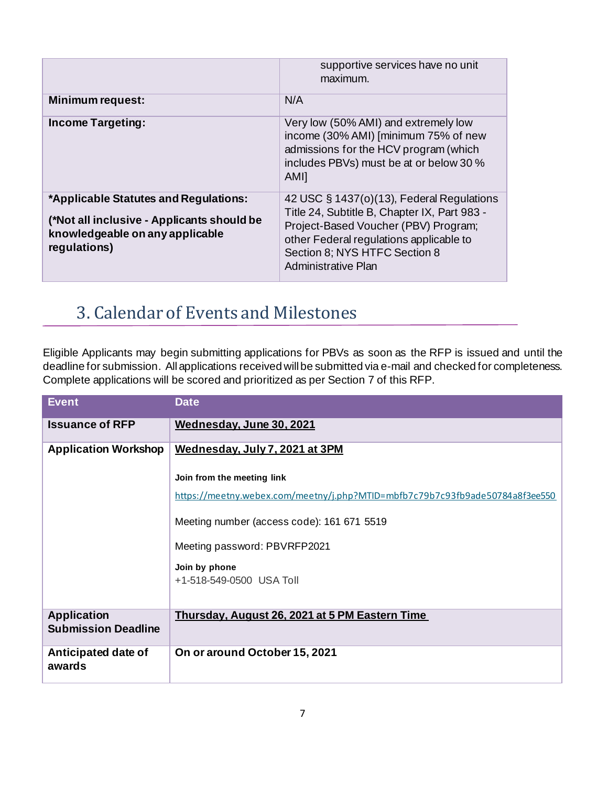|                                                                                                                                        | supportive services have no unit<br>maximum.                                                                                                                                                                                         |
|----------------------------------------------------------------------------------------------------------------------------------------|--------------------------------------------------------------------------------------------------------------------------------------------------------------------------------------------------------------------------------------|
| <b>Minimum request:</b>                                                                                                                | N/A                                                                                                                                                                                                                                  |
| <b>Income Targeting:</b>                                                                                                               | Very low (50% AMI) and extremely low<br>income (30% AMI) [minimum 75% of new<br>admissions for the HCV program (which<br>includes PBVs) must be at or below 30 %<br><b>AMII</b>                                                      |
| *Applicable Statutes and Regulations:<br>(*Not all inclusive - Applicants should be<br>knowledgeable on any applicable<br>regulations) | 42 USC § 1437(o)(13), Federal Regulations<br>Title 24, Subtitle B, Chapter IX, Part 983 -<br>Project-Based Voucher (PBV) Program;<br>other Federal regulations applicable to<br>Section 8; NYS HTFC Section 8<br>Administrative Plan |

# <span id="page-6-0"></span>3. Calendar of Events and Milestones

Eligible Applicants may begin submitting applications for PBVs as soon as the RFP is issued and until the deadline for submission. All applications received will be submitted via e-mail and checked for completeness. Complete applications will be scored and prioritized as per Section 7 of this RFP.

| <b>Event</b>                                     | <b>Date</b>                                                                  |  |
|--------------------------------------------------|------------------------------------------------------------------------------|--|
| <b>Issuance of RFP</b>                           | Wednesday, June 30, 2021                                                     |  |
| <b>Application Workshop</b>                      | Wednesday, July 7, 2021 at 3PM                                               |  |
|                                                  | Join from the meeting link                                                   |  |
|                                                  | https://meetny.webex.com/meetny/j.php?MTID=mbfb7c79b7c93fb9ade50784a8f3ee550 |  |
|                                                  | Meeting number (access code): 161 671 5519                                   |  |
|                                                  | Meeting password: PBVRFP2021                                                 |  |
|                                                  | Join by phone<br>+1-518-549-0500 USA Toll                                    |  |
| <b>Application</b><br><b>Submission Deadline</b> | <u>Thursday, August 26, 2021 at 5 PM Eastern Time</u>                        |  |
| Anticipated date of<br>awards                    | On or around October 15, 2021                                                |  |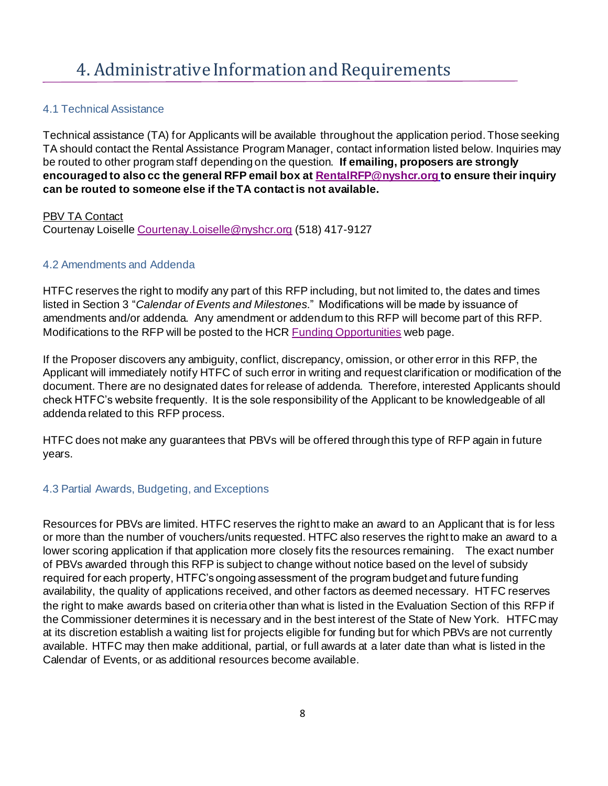### <span id="page-7-1"></span><span id="page-7-0"></span>4.1 Technical Assistance

Technical assistance (TA) for Applicants will be available throughout the application period. Those seeking TA should contact the Rental Assistance Program Manager, contact information listed below. Inquiries may be routed to other program staff depending on the question. **If emailing, proposers are strongly encouraged to also cc the general RFP email box a[t RentalRFP@nyshcr.org](mailto:RentalRFP@nyshcr.org) to ensure their inquiry can be routed to someone else if the TA contact is not available.**

#### **PBV TA Contact**

Courtenay Loisell[e Courtenay.Loiselle@nyshcr.org](mailto:Courtenay.Loiselle@nyshcr.org) (518) 417-9127

### <span id="page-7-2"></span>4.2 Amendments and Addenda

HTFC reserves the right to modify any part of this RFP including, but not limited to, the dates and times listed in Section 3 "*Calendar of Events and Milestones*." Modifications will be made by issuance of amendments and/or addenda. Any amendment or addendum to this RFP will become part of this RFP. Modifications to the RFP will be posted to the HC[R Funding Opportunities](http://www.nyshcr.org/Funding/) web page.

If the Proposer discovers any ambiguity, conflict, discrepancy, omission, or other error in this RFP, the Applicant will immediately notify HTFC of such error in writing and request clarification or modification of the document. There are no designated dates for release of addenda. Therefore, interested Applicants should check HTFC's website frequently. It is the sole responsibility of the Applicant to be knowledgeable of all addenda related to this RFP process.

HTFC does not make any guarantees that PBVs will be offered through this type of RFP again in future years.

#### <span id="page-7-3"></span>4.3 Partial Awards, Budgeting, and Exceptions

Resources for PBVs are limited. HTFC reserves the right to make an award to an Applicant that is for less or more than the number of vouchers/units requested. HTFC also reserves the right to make an award to a lower scoring application if that application more closely fits the resources remaining. The exact number of PBVs awarded through this RFP is subject to change without notice based on the level of subsidy required for each property, HTFC's ongoing assessment of the program budget and future funding availability, the quality of applications received, and other factors as deemed necessary. HTFC reserves the right to make awards based on criteria other than what is listed in the Evaluation Section of this RFP if the Commissioner determines it is necessary and in the best interest of the State of New York. HTFC may at its discretion establish a waiting list for projects eligible for funding but for which PBVs are not currently available. HTFC may then make additional, partial, or full awards at a later date than what is listed in the Calendar of Events, or as additional resources become available.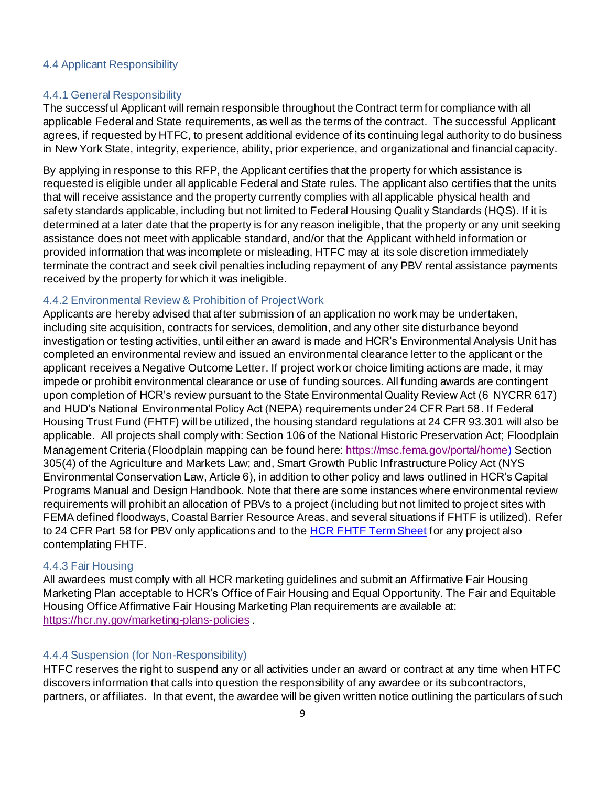#### <span id="page-8-0"></span>4.4 Applicant Responsibility

#### 4.4.1 General Responsibility

The successful Applicant will remain responsible throughout the Contract term for compliance with all applicable Federal and State requirements, as well as the terms of the contract. The successful Applicant agrees, if requested by HTFC, to present additional evidence of its continuing legal authority to do business in New York State, integrity, experience, ability, prior experience, and organizational and financial capacity.

By applying in response to this RFP, the Applicant certifies that the property for which assistance is requested is eligible under all applicable Federal and State rules. The applicant also certifies that the units that will receive assistance and the property currently complies with all applicable physical health and safety standards applicable, including but not limited to Federal Housing Quality Standards (HQS). If it is determined at a later date that the property is for any reason ineligible, that the property or any unit seeking assistance does not meet with applicable standard, and/or that the Applicant withheld information or provided information that was incomplete or misleading, HTFC may at its sole discretion immediately terminate the contract and seek civil penalties including repayment of any PBV rental assistance payments received by the property for which it was ineligible.

#### 4.4.2 Environmental Review & Prohibition of Project Work

Applicants are hereby advised that after submission of an application no work may be undertaken, including site acquisition, contracts for services, demolition, and any other site disturbance beyond investigation or testing activities, until either an award is made and HCR's Environmental Analysis Unit has completed an environmental review and issued an environmental clearance letter to the applicant or the applicant receives a Negative Outcome Letter. If project work or choice limiting actions are made, it may impede or prohibit environmental clearance or use of funding sources. All funding awards are contingent upon completion of HCR's review pursuant to the State Environmental Quality Review Act (6 NYCRR 617) and HUD's National Environmental Policy Act (NEPA) requirements under 24 CFR Part 58. If Federal Housing Trust Fund (FHTF) will be utilized, the housing standard regulations at 24 CFR 93.301 will also be applicable. All projects shall comply with: Section 106 of the National Historic Preservation Act; Floodplain Management Criteria (Floodplain mapping can be found here[: https://msc.fema.gov/portal/home](https://msc.fema.gov/portal/home)) Section 305(4) of the Agriculture and Markets Law; and, Smart Growth Public Infrastructure Policy Act (NYS Environmental Conservation Law, Article 6), in addition to other policy and laws outlined in HCR's Capital Programs Manual and Design Handbook. Note that there are some instances where environmental review requirements will prohibit an allocation of PBVs to a project (including but not limited to project sites with FEMA defined floodways, Coastal Barrier Resource Areas, and several situations if FHTF is utilized). Refer to 24 CFR Part 58 for PBV only applications and to the [HCR FHTF Term Sheet](https://hcr.ny.gov/system/files/documents/2020/11/hcr-federal-housing-trust-fund-term-sheet-november-2020.pdf) for any project also contemplating FHTF.

#### 4.4.3 Fair Housing

All awardees must comply with all HCR marketing guidelines and submit an Affirmative Fair Housing Marketing Plan acceptable to HCR's Office of Fair Housing and Equal Opportunity. The Fair and Equitable Housing Office Affirmative Fair Housing Marketing Plan requirements are available at: <https://hcr.ny.gov/marketing-plans-policies> .

#### 4.4.4 Suspension (for Non-Responsibility)

HTFC reserves the right to suspend any or all activities under an award or contract at any time when HTFC discovers information that calls into question the responsibility of any awardee or its subcontractors, partners, or affiliates. In that event, the awardee will be given written notice outlining the particulars of such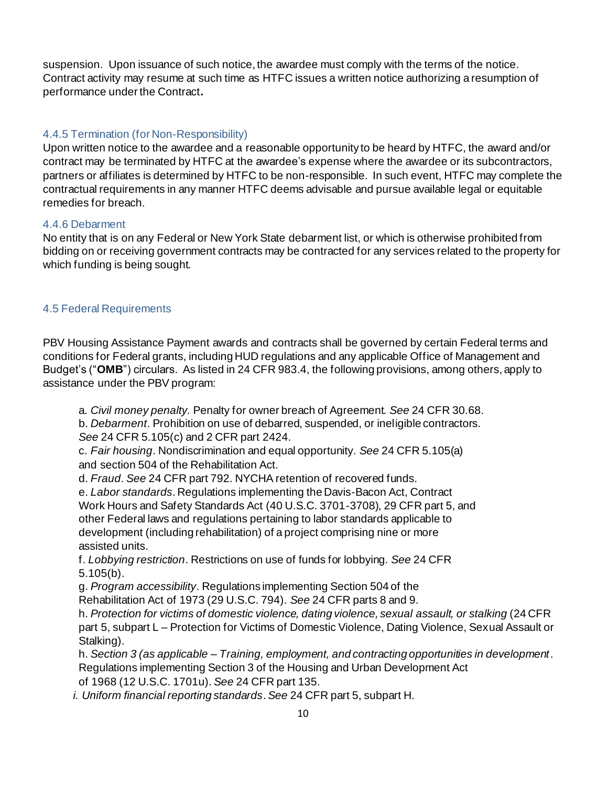suspension. Upon issuance of such notice, the awardee must comply with the terms of the notice. Contract activity may resume at such time as HTFC issues a written notice authorizing a resumption of performance under the Contract**.**

#### 4.4.5 Termination (for Non-Responsibility)

Upon written notice to the awardee and a reasonable opportunity to be heard by HTFC, the award and/or contract may be terminated by HTFC at the awardee's expense where the awardee or its subcontractors, partners or affiliates is determined by HTFC to be non-responsible. In such event, HTFC may complete the contractual requirements in any manner HTFC deems advisable and pursue available legal or equitable remedies for breach.

#### 4.4.6 Debarment

No entity that is on any Federal or New York State debarment list, or which is otherwise prohibited from bidding on or receiving government contracts may be contracted for any services related to the property for which funding is being sought.

#### <span id="page-9-0"></span>4.5 Federal Requirements

PBV Housing Assistance Payment awards and contracts shall be governed by certain Federal terms and conditions for Federal grants, including HUD regulations and any applicable Office of Management and Budget's ("**OMB**") circulars. As listed in 24 CFR 983.4, the following provisions, among others, apply to assistance under the PBV program:

a. *Civil money penalty.* Penalty for owner breach of Agreement. *See* 24 CFR 30.68.

b. *Debarment*. Prohibition on use of debarred, suspended, or ineligible contractors. *See* 24 CFR 5.105(c) and 2 CFR part 2424.

c. *Fair housing*. Nondiscrimination and equal opportunity. *See* 24 CFR 5.105(a) and section 504 of the Rehabilitation Act.

d. *Fraud*. *See* 24 CFR part 792. NYCHA retention of recovered funds.

e. *Labor standards*. Regulations implementing the Davis-Bacon Act, Contract Work Hours and Safety Standards Act (40 U.S.C. 3701-3708), 29 CFR part 5, and other Federal laws and regulations pertaining to labor standards applicable to development (including rehabilitation) of a project comprising nine or more assisted units.

f. *Lobbying restriction*. Restrictions on use of funds for lobbying. *See* 24 CFR 5.105(b).

g. *Program accessibility*. Regulations implementing Section 504 of the Rehabilitation Act of 1973 (29 U.S.C. 794). *See* 24 CFR parts 8 and 9.

h. *Protection for victims of domestic violence, dating violence, sexual assault, or stalking* (24 CFR part 5, subpart L – Protection for Victims of Domestic Violence, Dating Violence, Sexual Assault or Stalking).

h. *Section 3 (as applicable – Training, employment, and contracting opportunities in development*. Regulations implementing Section 3 of the Housing and Urban Development Act of 1968 (12 U.S.C. 1701u). *See* 24 CFR part 135.

 *i. Uniform financial reporting standards*. *See* 24 CFR part 5, subpart H.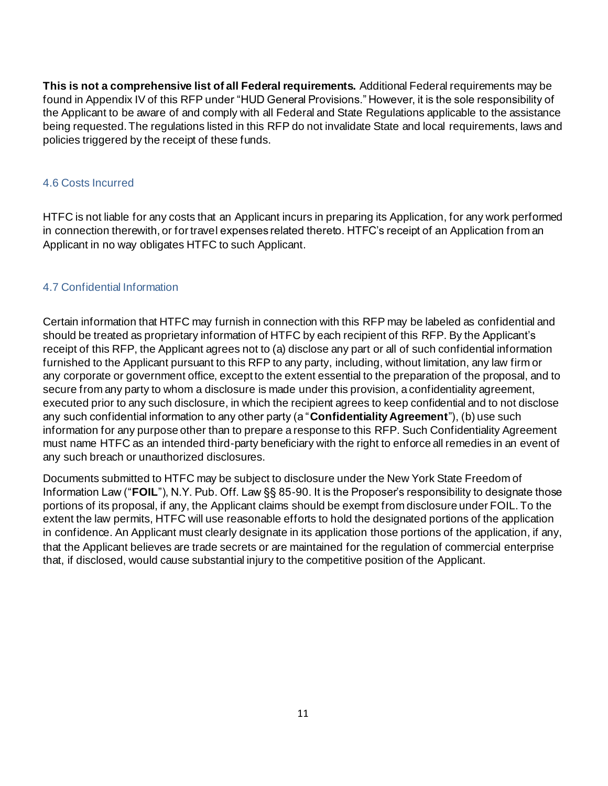**This is not a comprehensive list of all Federal requirements.** Additional Federal requirements may be found in Appendix IV of this RFP under "HUD General Provisions." However, it is the sole responsibility of the Applicant to be aware of and comply with all Federal and State Regulations applicable to the assistance being requested. The regulations listed in this RFP do not invalidate State and local requirements, laws and policies triggered by the receipt of these funds.

#### <span id="page-10-0"></span>4.6 Costs Incurred

HTFC is not liable for any costs that an Applicant incurs in preparing its Application, for any work performed in connection therewith, or for travel expenses related thereto. HTFC's receipt of an Application from an Applicant in no way obligates HTFC to such Applicant.

#### <span id="page-10-1"></span>4.7 Confidential Information

Certain information that HTFC may furnish in connection with this RFP may be labeled as confidential and should be treated as proprietary information of HTFC by each recipient of this RFP. By the Applicant's receipt of this RFP, the Applicant agrees not to (a) disclose any part or all of such confidential information furnished to the Applicant pursuant to this RFP to any party, including, without limitation, any law firm or any corporate or government office, except to the extent essential to the preparation of the proposal, and to secure from any party to whom a disclosure is made under this provision, a confidentiality agreement, executed prior to any such disclosure, in which the recipient agrees to keep confidential and to not disclose any such confidential information to any other party (a "**Confidentiality Agreement**"), (b) use such information for any purpose other than to prepare a response to this RFP. Such Confidentiality Agreement must name HTFC as an intended third-party beneficiary with the right to enforce all remedies in an event of any such breach or unauthorized disclosures.

Documents submitted to HTFC may be subject to disclosure under the New York State Freedom of Information Law ("**FOIL**"), N.Y. Pub. Off. Law §§ 85-90. It is the Proposer's responsibility to designate those portions of its proposal, if any, the Applicant claims should be exempt from disclosure under FOIL. To the extent the law permits, HTFC will use reasonable efforts to hold the designated portions of the application in confidence. An Applicant must clearly designate in its application those portions of the application, if any, that the Applicant believes are trade secrets or are maintained for the regulation of commercial enterprise that, if disclosed, would cause substantial injury to the competitive position of the Applicant.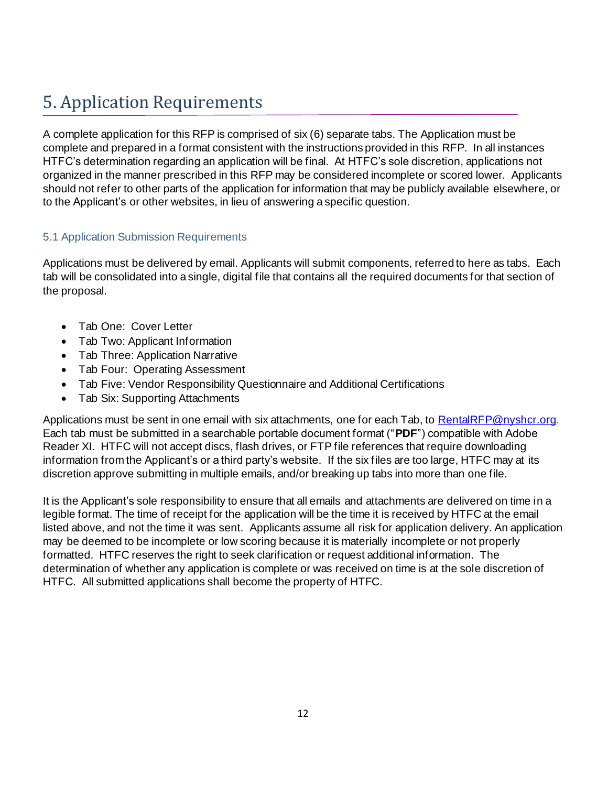# <span id="page-11-0"></span>5. Application Requirements

A complete application for this RFP is comprised of six (6) separate tabs. The Application must be complete and prepared in a format consistent with the instructions provided in this RFP. In all instances HTFC's determination regarding an application will be final. At HTFC's sole discretion, applications not organized in the manner prescribed in this RFP may be considered incomplete or scored lower. Applicants should not refer to other parts of the application for information that may be publicly available elsewhere, or to the Applicant's or other websites, in lieu of answering a specific question.

# <span id="page-11-1"></span>5.1 Application Submission Requirements

Applications must be delivered by email. Applicants will submit components, referred to here as tabs. Each tab will be consolidated into a single, digital file that contains all the required documents for that section of the proposal.

- Tab One: Cover Letter
- Tab Two: Applicant Information
- Tab Three: Application Narrative
- Tab Four: Operating Assessment
- Tab Five: Vendor Responsibility Questionnaire and Additional Certifications
- Tab Six: Supporting Attachments

Applications must be sent in one email with six attachments, one for each Tab, to [RentalRFP@nyshcr.org](mailto:RentalRFP@nyshcr.org). Each tab must be submitted in a searchable portable document format ("**PDF**") compatible with Adobe Reader XI. HTFC will not accept discs, flash drives, or FTP file references that require downloading information from the Applicant's or a third party's website. If the six files are too large, HTFC may at its discretion approve submitting in multiple emails, and/or breaking up tabs into more than one file.

It is the Applicant's sole responsibility to ensure that all emails and attachments are delivered on time in a legible format. The time of receipt for the application will be the time it is received by HTFC at the email listed above, and not the time it was sent. Applicants assume all risk for application delivery. An application may be deemed to be incomplete or low scoring because it is materially incomplete or not properly formatted. HTFC reserves the right to seek clarification or request additional information. The determination of whether any application is complete or was received on time is at the sole discretion of HTFC. All submitted applications shall become the property of HTFC.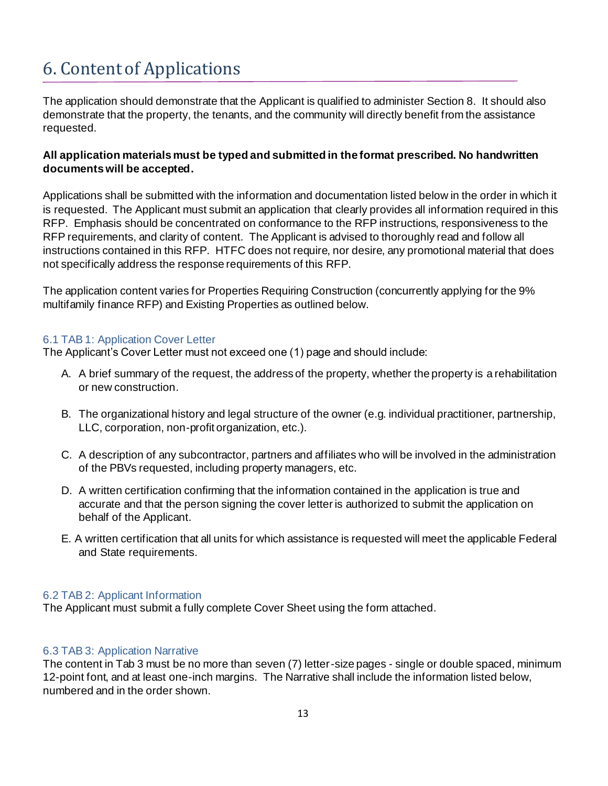# <span id="page-12-0"></span>6. Content of Applications

The application should demonstrate that the Applicant is qualified to administer Section 8. It should also demonstrate that the property, the tenants, and the community will directly benefit from the assistance requested.

### **All application materials must be typed and submitted in the format prescribed. No handwritten documents will be accepted.**

Applications shall be submitted with the information and documentation listed below in the order in which it is requested. The Applicant must submit an application that clearly provides all information required in this RFP. Emphasis should be concentrated on conformance to the RFP instructions, responsiveness to the RFP requirements, and clarity of content. The Applicant is advised to thoroughly read and follow all instructions contained in this RFP. HTFC does not require, nor desire, any promotional material that does not specifically address the response requirements of this RFP.

The application content varies for Properties Requiring Construction (concurrently applying for the 9% multifamily finance RFP) and Existing Properties as outlined below.

### <span id="page-12-1"></span>6.1 TAB 1: Application Cover Letter

The Applicant's Cover Letter must not exceed one (1) page and should include:

- A. A brief summary of the request, the address of the property, whether the property is a rehabilitation or new construction.
- B. The organizational history and legal structure of the owner (e.g. individual practitioner, partnership, LLC, corporation, non-profit organization, etc.).
- C. A description of any subcontractor, partners and affiliates who will be involved in the administration of the PBVs requested, including property managers, etc.
- D. A written certification confirming that the information contained in the application is true and accurate and that the person signing the cover letter is authorized to submit the application on behalf of the Applicant.
- E. A written certification that all units for which assistance is requested will meet the applicable Federal and State requirements.

#### <span id="page-12-2"></span>6.2 TAB 2: Applicant Information

The Applicant must submit a fully complete Cover Sheet using the form attached.

#### <span id="page-12-3"></span>6.3 TAB 3: Application Narrative

The content in Tab 3 must be no more than seven (7) letter-size pages - single or double spaced, minimum 12-point font, and at least one-inch margins. The Narrative shall include the information listed below, numbered and in the order shown.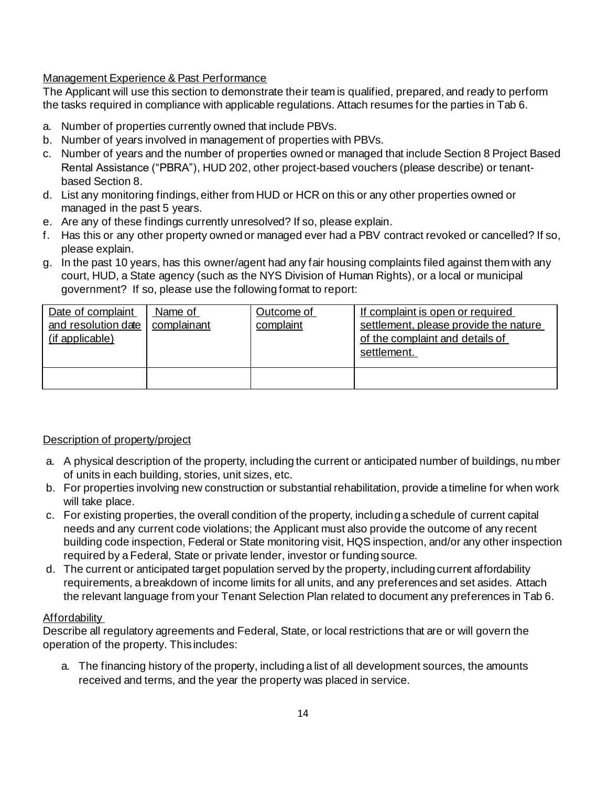# Management Experience & Past Performance

The Applicant will use this section to demonstrate their team is qualified, prepared, and ready to perform the tasks required in compliance with applicable regulations. Attach resumes for the parties in Tab 6.

- a. Number of properties currently owned that include PBVs.
- b. Number of years involved in management of properties with PBVs.
- c. Number of years and the number of properties owned or managed that include Section 8 Project Based Rental Assistance ("PBRA"), HUD 202, other project-based vouchers (please describe) or tenantbased Section 8.
- d. List any monitoring findings, either from HUD or HCR on this or any other properties owned or managed in the past 5 years.
- e. Are any of these findings currently unresolved? If so, please explain.
- f. Has this or any other property owned or managed ever had a PBV contract revoked or cancelled? If so, please explain.
- g. In the past 10 years, has this owner/agent had any fair housing complaints filed against them with any court, HUD, a State agency (such as the NYS Division of Human Rights), or a local or municipal government? If so, please use the following format to report:

| Date of complaint<br>and resolution date<br>(if applicable) | Name of<br>complainant | Outcome of<br>complaint | If complaint is open or required<br>settlement, please provide the nature<br>of the complaint and details of<br>settlement. |
|-------------------------------------------------------------|------------------------|-------------------------|-----------------------------------------------------------------------------------------------------------------------------|
|                                                             |                        |                         |                                                                                                                             |

#### Description of property/project

- a. A physical description of the property, including the current or anticipated number of buildings, nu mber of units in each building, stories, unit sizes, etc.
- b. For properties involving new construction or substantial rehabilitation, provide a timeline for when work will take place.
- c. For existing properties, the overall condition of the property, including a schedule of current capital needs and any current code violations; the Applicant must also provide the outcome of any recent building code inspection, Federal or State monitoring visit, HQS inspection, and/or any other inspection required by a Federal, State or private lender, investor or funding source.
- d. The current or anticipated target population served by the property, including current affordability requirements, a breakdown of income limits for all units, and any preferences and set asides. Attach the relevant language from your Tenant Selection Plan related to document any preferences in Tab 6.

#### Affordability

Describe all regulatory agreements and Federal, State, or local restrictions that are or will govern the operation of the property. This includes:

a. The financing history of the property, including a list of all development sources, the amounts received and terms, and the year the property was placed in service.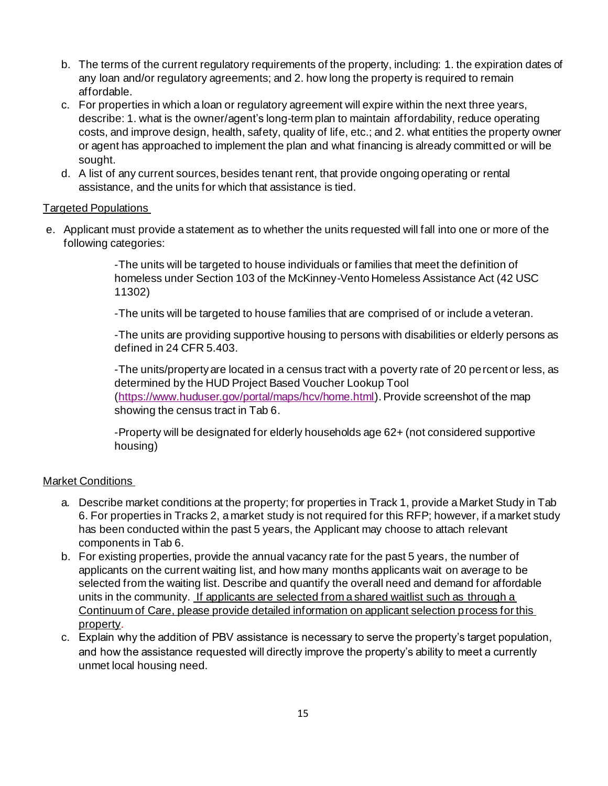- b. The terms of the current regulatory requirements of the property, including: 1. the expiration dates of any loan and/or regulatory agreements; and 2. how long the property is required to remain affordable.
- c. For properties in which a loan or regulatory agreement will expire within the next three years, describe: 1. what is the owner/agent's long-term plan to maintain affordability, reduce operating costs, and improve design, health, safety, quality of life, etc.; and 2. what entities the property owner or agent has approached to implement the plan and what financing is already committed or will be sought.
- d. A list of any current sources, besides tenant rent, that provide ongoing operating or rental assistance, and the units for which that assistance is tied.

#### Targeted Populations

e. Applicant must provide a statement as to whether the units requested will fall into one or more of the following categories:

> -The units will be targeted to house individuals or families that meet the definition of homeless under Section 103 of the McKinney-Vento Homeless Assistance Act (42 USC 11302)

-The units will be targeted to house families that are comprised of or include a veteran.

-The units are providing supportive housing to persons with disabilities or elderly persons as defined in 24 CFR 5.403.

-The units/property are located in a census tract with a poverty rate of 20 percent or less, as determined by the HUD Project Based Voucher Lookup Tool [\(https://www.huduser.gov/portal/maps/hcv/home.html](https://www.huduser.gov/portal/maps/hcv/home.html)).Provide screenshot of the map showing the census tract in Tab 6.

-Property will be designated for elderly households age 62+ (not considered supportive housing)

#### Market Conditions

- a. Describe market conditions at the property; for properties in Track 1, provide a Market Study in Tab 6. For properties in Tracks 2, a market study is not required for this RFP; however, if a market study has been conducted within the past 5 years, the Applicant may choose to attach relevant components in Tab 6.
- b. For existing properties, provide the annual vacancy rate for the past 5 years, the number of applicants on the current waiting list, and how many months applicants wait on average to be selected from the waiting list. Describe and quantify the overall need and demand for affordable units in the community. If applicants are selected from a shared waitlist such as through a Continuum of Care, please provide detailed information on applicant selection process for this property.
- c. Explain why the addition of PBV assistance is necessary to serve the property's target population, and how the assistance requested will directly improve the property's ability to meet a currently unmet local housing need.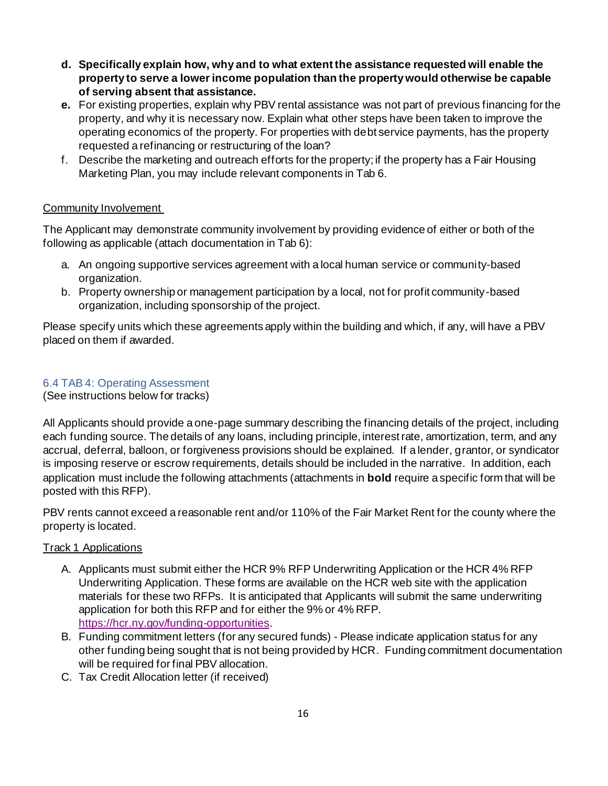- **d. Specifically explain how, why and to what extent the assistance requested will enable the property to serve a lower income population than the property would otherwise be capable of serving absent that assistance.**
- **e.** For existing properties, explain why PBV rental assistance was not part of previous financing for the property, and why it is necessary now. Explain what other steps have been taken to improve the operating economics of the property. For properties with debt service payments, has the property requested a refinancing or restructuring of the loan?
- f. Describe the marketing and outreach efforts for the property; if the property has a Fair Housing Marketing Plan, you may include relevant components in Tab 6.

### Community Involvement

The Applicant may demonstrate community involvement by providing evidence of either or both of the following as applicable (attach documentation in Tab 6):

- a. An ongoing supportive services agreement with a local human service or community-based organization.
- b. Property ownership or management participation by a local, not for profit community-based organization, including sponsorship of the project.

Please specify units which these agreements apply within the building and which, if any, will have a PBV placed on them if awarded.

#### <span id="page-15-0"></span>6.4 TAB 4: Operating Assessment

(See instructions below for tracks)

All Applicants should provide a one-page summary describing the financing details of the project, including each funding source. The details of any loans, including principle, interest rate, amortization, term, and any accrual, deferral, balloon, or forgiveness provisions should be explained. If a lender, grantor, or syndicator is imposing reserve or escrow requirements, details should be included in the narrative. In addition, each application must include the following attachments (attachments in **bold** require a specific form that will be posted with this RFP).

PBV rents cannot exceed a reasonable rent and/or 110% of the Fair Market Rent for the county where the property is located.

#### Track 1 Applications

- A. Applicants must submit either the HCR 9% RFP Underwriting Application or the HCR 4% RFP Underwriting Application. These forms are available on the HCR web site with the application materials for these two RFPs. It is anticipated that Applicants will submit the same underwriting application for both this RFP and for either the 9% or 4% RFP. <https://hcr.ny.gov/funding-opportunities>.
- B. Funding commitment letters (for any secured funds) Please indicate application status for any other funding being sought that is not being provided by HCR. Funding commitment documentation will be required for final PBV allocation.
- C. Tax Credit Allocation letter (if received)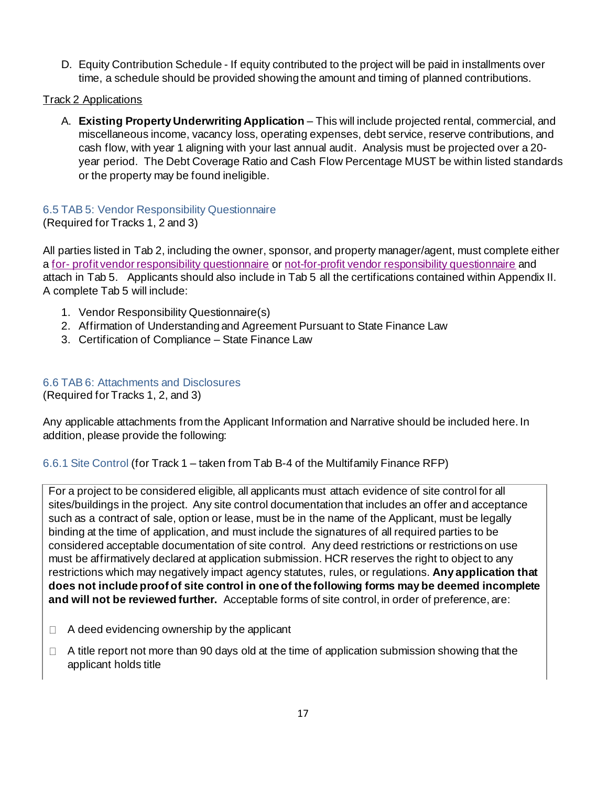D. Equity Contribution Schedule - If equity contributed to the project will be paid in installments over time, a schedule should be provided showing the amount and timing of planned contributions.

Track 2 Applications

A. **Existing Property Underwriting Application** – This will include projected rental, commercial, and miscellaneous income, vacancy loss, operating expenses, debt service, reserve contributions, and cash flow, with year 1 aligning with your last annual audit. Analysis must be projected over a 20 year period. The Debt Coverage Ratio and Cash Flow Percentage MUST be within listed standards or the property may be found ineligible.

# <span id="page-16-0"></span>6.5 TAB 5: Vendor Responsibility Questionnaire

(Required for Tracks 1, 2 and 3)

All parties listed in Tab 2, including the owner, sponsor, and property manager/agent, must complete either a for- [profit vendor responsibility questionnaire](http://www.nyshcr.org/AboutUs/Procurement/VenRep_For-Profit_Organzation_HCR.pdf) or [not-for-profit vendor responsibility questionnaire](http://www.nyshcr.org/AboutUs/Procurement/VenRep_Not-For-Profit_Organzation_HCR.pdf) and attach in Tab 5. Applicants should also include in Tab 5 all the certifications contained within Appendix II. A complete Tab 5 will include:

- 1. Vendor Responsibility Questionnaire(s)
- 2. Affirmation of Understanding and Agreement Pursuant to State Finance Law
- 3. Certification of Compliance State Finance Law

### <span id="page-16-1"></span>6.6 TAB 6: Attachments and Disclosures

(Required for Tracks 1, 2, and 3)

Any applicable attachments from the Applicant Information and Narrative should be included here. In addition, please provide the following:

# 6.6.1 Site Control (for Track 1 – taken from Tab B-4 of the Multifamily Finance RFP)

For a project to be considered eligible, all applicants must attach evidence of site control for all sites/buildings in the project. Any site control documentation that includes an offer and acceptance such as a contract of sale, option or lease, must be in the name of the Applicant, must be legally binding at the time of application, and must include the signatures of all required parties to be considered acceptable documentation of site control. Any deed restrictions or restrictions on use must be affirmatively declared at application submission. HCR reserves the right to object to any restrictions which may negatively impact agency statutes, rules, or regulations. **Any application that does not include proof of site control in one of the following forms may be deemed incomplete and will not be reviewed further.** Acceptable forms of site control, in order of preference, are:

- A deed evidencing ownership by the applicant  $\Box$
- A title report not more than 90 days old at the time of application submission showing that the  $\Box$ applicant holds title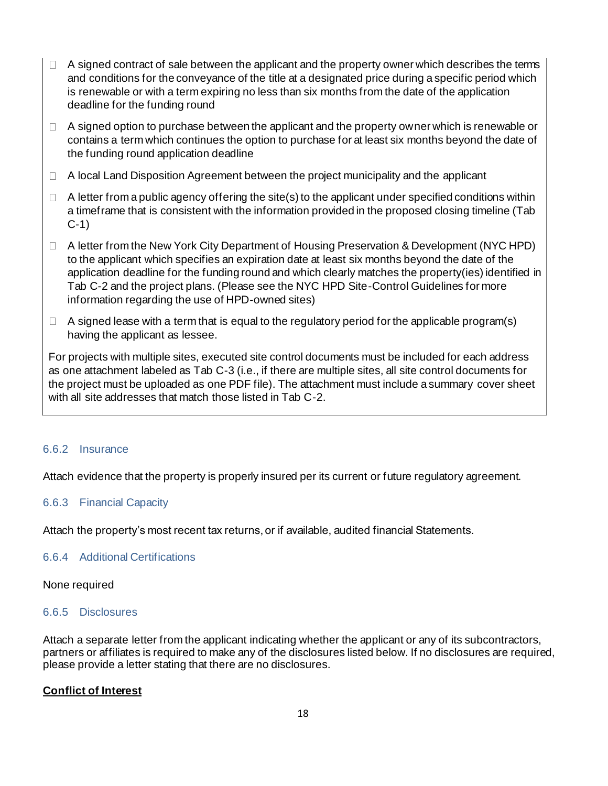- $\Box$  A signed contract of sale between the applicant and the property owner which describes the terms and conditions for the conveyance of the title at a designated price during a specific period which is renewable or with a term expiring no less than six months from the date of the application deadline for the funding round
- $\Box$  A signed option to purchase between the applicant and the property owner which is renewable or contains a term which continues the option to purchase for at least six months beyond the date of the funding round application deadline
- $\Box$  A local Land Disposition Agreement between the project municipality and the applicant
- $\Box$  A letter from a public agency offering the site(s) to the applicant under specified conditions within a timeframe that is consistent with the information provided in the proposed closing timeline (Tab C-1)
- A letter from the New York City Department of Housing Preservation & Development (NYC HPD) to the applicant which specifies an expiration date at least six months beyond the date of the application deadline for the funding round and which clearly matches the property(ies) identified in Tab C-2 and the project plans. (Please see the NYC HPD Site-Control Guidelines for more information regarding the use of HPD-owned sites)
- $\Box$  A signed lease with a term that is equal to the regulatory period for the applicable program(s) having the applicant as lessee.

For projects with multiple sites, executed site control documents must be included for each address as one attachment labeled as Tab C-3 (i.e., if there are multiple sites, all site control documents for the project must be uploaded as one PDF file). The attachment must include a summary cover sheet with all site addresses that match those listed in Tab C-2.

#### 6.6.2 Insurance

Attach evidence that the property is properly insured per its current or future regulatory agreement.

#### 6.6.3 Financial Capacity

Attach the property's most recent tax returns, or if available, audited financial Statements.

#### 6.6.4 Additional Certifications

#### None required

#### 6.6.5 Disclosures

Attach a separate letter from the applicant indicating whether the applicant or any of its subcontractors, partners or affiliates is required to make any of the disclosures listed below. If no disclosures are required, please provide a letter stating that there are no disclosures.

#### **Conflict of Interest**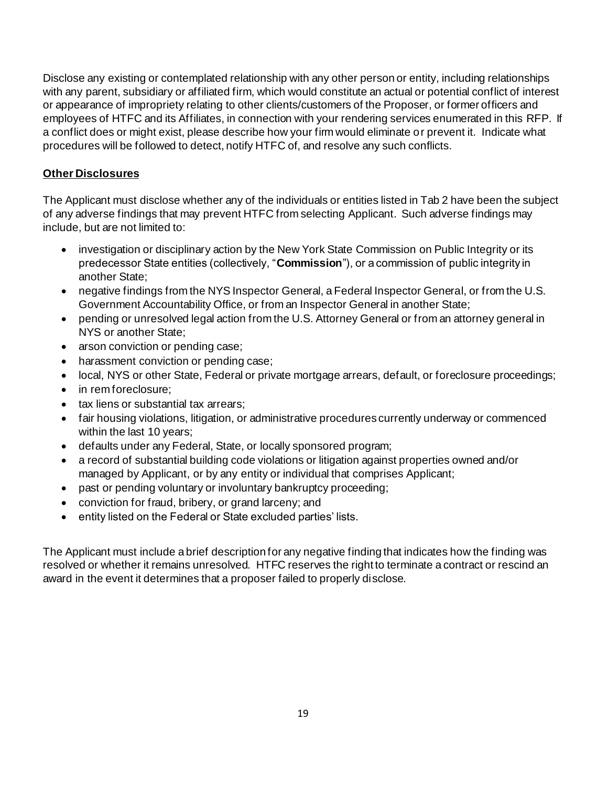Disclose any existing or contemplated relationship with any other person or entity, including relationships with any parent, subsidiary or affiliated firm, which would constitute an actual or potential conflict of interest or appearance of impropriety relating to other clients/customers of the Proposer, or former officers and employees of HTFC and its Affiliates, in connection with your rendering services enumerated in this RFP. If a conflict does or might exist, please describe how your firm would eliminate or prevent it. Indicate what procedures will be followed to detect, notify HTFC of, and resolve any such conflicts.

# **Other Disclosures**

The Applicant must disclose whether any of the individuals or entities listed in Tab 2 have been the subject of any adverse findings that may prevent HTFC from selecting Applicant. Such adverse findings may include, but are not limited to:

- investigation or disciplinary action by the New York State Commission on Public Integrity or its predecessor State entities (collectively, "**Commission**"), or a commission of public integrity in another State;
- negative findings from the NYS Inspector General, a Federal Inspector General, or from the U.S. Government Accountability Office, or from an Inspector General in another State;
- pending or unresolved legal action from the U.S. Attorney General or from an attorney general in NYS or another State;
- arson conviction or pending case;
- harassment conviction or pending case;
- local, NYS or other State, Federal or private mortgage arrears, default, or foreclosure proceedings;
- in rem foreclosure;
- tax liens or substantial tax arrears;
- fair housing violations, litigation, or administrative procedures currently underway or commenced within the last 10 years;
- defaults under any Federal, State, or locally sponsored program;
- a record of substantial building code violations or litigation against properties owned and/or managed by Applicant, or by any entity or individual that comprises Applicant;
- past or pending voluntary or involuntary bankruptcy proceeding;
- conviction for fraud, bribery, or grand larceny; and
- entity listed on the Federal or State excluded parties' lists.

The Applicant must include a brief description for any negative finding that indicates how the finding was resolved or whether it remains unresolved. HTFC reserves the right to terminate a contract or rescind an award in the event it determines that a proposer failed to properly disclose.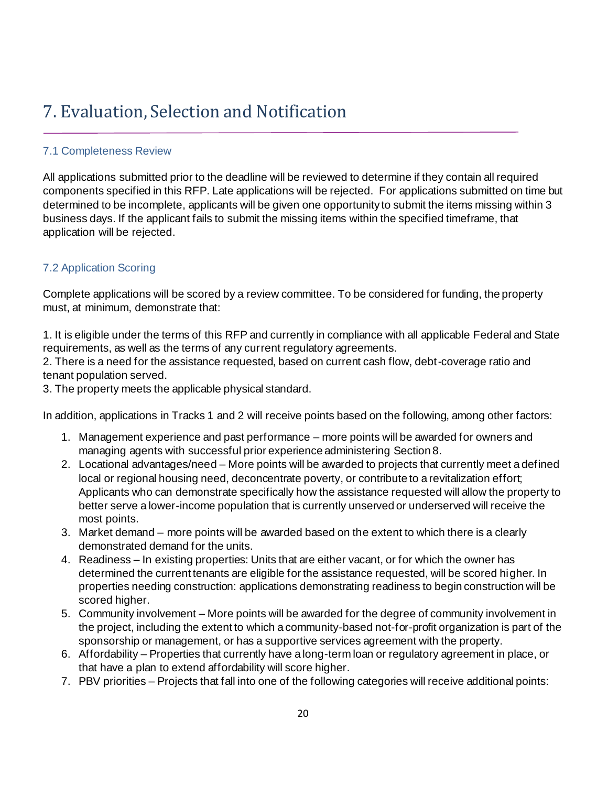# <span id="page-19-0"></span>7. Evaluation, Selection and Notification

# <span id="page-19-1"></span>7.1 Completeness Review

All applications submitted prior to the deadline will be reviewed to determine if they contain all required components specified in this RFP. Late applications will be rejected. For applications submitted on time but determined to be incomplete, applicants will be given one opportunity to submit the items missing within 3 business days. If the applicant fails to submit the missing items within the specified timeframe, that application will be rejected.

# <span id="page-19-2"></span>7.2 Application Scoring

Complete applications will be scored by a review committee. To be considered for funding, the property must, at minimum, demonstrate that:

1. It is eligible under the terms of this RFP and currently in compliance with all applicable Federal and State requirements, as well as the terms of any current regulatory agreements.

2. There is a need for the assistance requested, based on current cash flow, debt-coverage ratio and tenant population served.

3. The property meets the applicable physical standard.

In addition, applications in Tracks 1 and 2 will receive points based on the following, among other factors:

- 1. Management experience and past performance more points will be awarded for owners and managing agents with successful prior experience administering Section 8.
- 2. Locational advantages/need More points will be awarded to projects that currently meet a defined local or regional housing need, deconcentrate poverty, or contribute to a revitalization effort; Applicants who can demonstrate specifically how the assistance requested will allow the property to better serve a lower-income population that is currently unserved or underserved will receive the most points.
- 3. Market demand more points will be awarded based on the extent to which there is a clearly demonstrated demand for the units.
- 4. Readiness In existing properties: Units that are either vacant, or for which the owner has determined the current tenants are eligible for the assistance requested, will be scored higher. In properties needing construction: applications demonstrating readiness to begin construction will be scored higher.
- 5. Community involvement More points will be awarded for the degree of community involvement in the project, including the extent to which a community-based not-for-profit organization is part of the sponsorship or management, or has a supportive services agreement with the property.
- 6. Affordability Properties that currently have a long-term loan or regulatory agreement in place, or that have a plan to extend affordability will score higher.
- 7. PBV priorities Projects that fall into one of the following categories will receive additional points: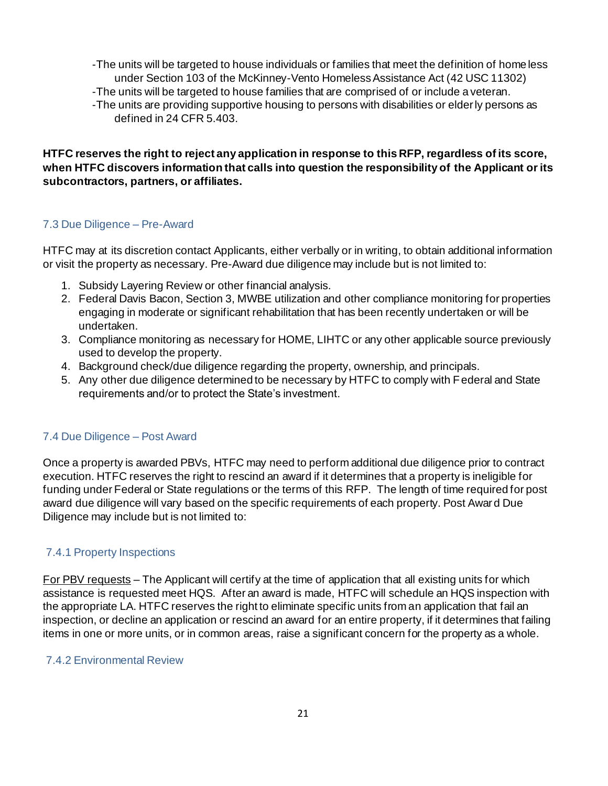-The units will be targeted to house individuals or families that meet the definition of homeless under Section 103 of the McKinney-Vento Homeless Assistance Act (42 USC 11302) -The units will be targeted to house families that are comprised of or include a veteran. -The units are providing supportive housing to persons with disabilities or elderly persons as defined in 24 CFR 5.403.

**HTFC reserves the right to reject any application in response to this RFP, regardless of its score, when HTFC discovers information that calls into question the responsibility of the Applicant or its subcontractors, partners, or affiliates.** 

#### <span id="page-20-0"></span>7.3 Due Diligence – Pre-Award

HTFC may at its discretion contact Applicants, either verbally or in writing, to obtain additional information or visit the property as necessary. Pre-Award due diligence may include but is not limited to:

- 1. Subsidy Layering Review or other financial analysis.
- 2. Federal Davis Bacon, Section 3, MWBE utilization and other compliance monitoring for properties engaging in moderate or significant rehabilitation that has been recently undertaken or will be undertaken.
- 3. Compliance monitoring as necessary for HOME, LIHTC or any other applicable source previously used to develop the property.
- 4. Background check/due diligence regarding the property, ownership, and principals.
- 5. Any other due diligence determined to be necessary by HTFC to comply with Federal and State requirements and/or to protect the State's investment.

# <span id="page-20-1"></span>7.4 Due Diligence – Post Award

Once a property is awarded PBVs, HTFC may need to perform additional due diligence prior to contract execution. HTFC reserves the right to rescind an award if it determines that a property is ineligible for funding under Federal or State regulations or the terms of this RFP. The length of time required for post award due diligence will vary based on the specific requirements of each property. Post Awar d Due Diligence may include but is not limited to:

# 7.4.1 Property Inspections

For PBV requests – The Applicant will certify at the time of application that all existing units for which assistance is requested meet HQS. After an award is made, HTFC will schedule an HQS inspection with the appropriate LA. HTFC reserves the right to eliminate specific units from an application that fail an inspection, or decline an application or rescind an award for an entire property, if it determines that failing items in one or more units, or in common areas, raise a significant concern for the property as a whole.

#### 7.4.2 Environmental Review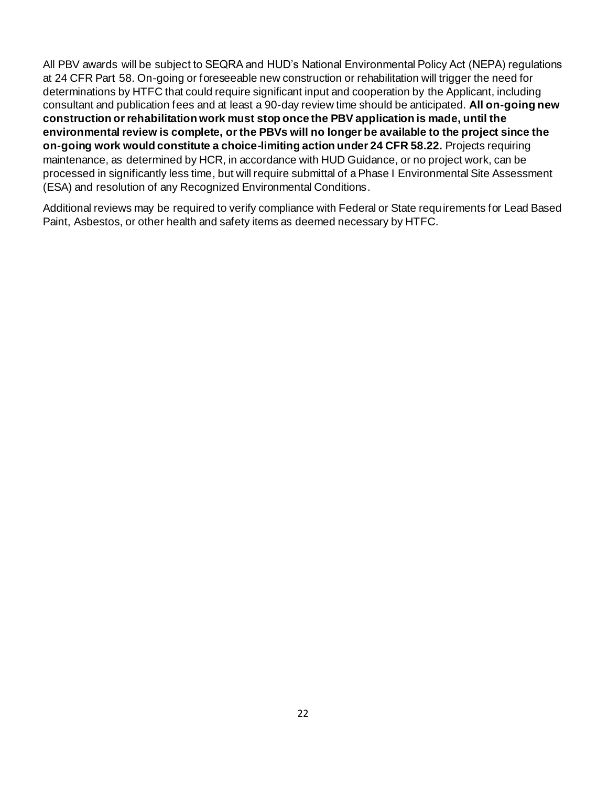All PBV awards will be subject to SEQRA and HUD's National Environmental Policy Act (NEPA) regulations at 24 CFR Part 58. On-going or foreseeable new construction or rehabilitation will trigger the need for determinations by HTFC that could require significant input and cooperation by the Applicant, including consultant and publication fees and at least a 90-day review time should be anticipated. **All on-going new construction or rehabilitation work must stop once the PBV application is made, until the environmental review is complete, or the PBVs will no longer be available to the project since the on-going work would constitute a choice-limiting action under 24 CFR 58.22.** Projects requiring maintenance, as determined by HCR, in accordance with HUD Guidance, or no project work, can be processed in significantly less time, but will require submittal of a Phase I Environmental Site Assessment (ESA) and resolution of any Recognized Environmental Conditions.

Additional reviews may be required to verify compliance with Federal or State requirements for Lead Based Paint, Asbestos, or other health and safety items as deemed necessary by HTFC.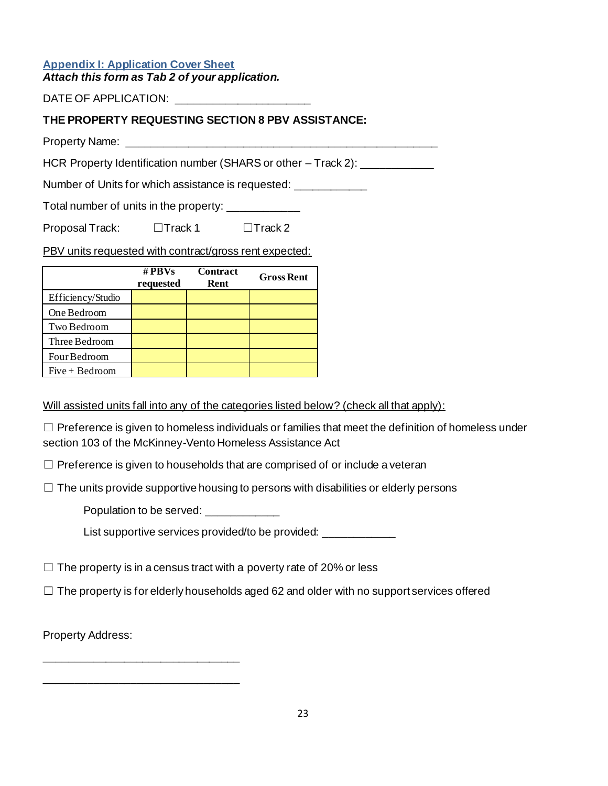#### <span id="page-22-0"></span>**Appendix I: Application Cover Sheet** *Attach this form as Tab 2 of your application.*

DATE OF APPLICATION: \_\_\_\_\_\_\_\_\_\_\_

# **THE PROPERTY REQUESTING SECTION 8 PBV ASSISTANCE:**

Property Name:

HCR Property Identification number (SHARS or other – Track 2): \_\_\_\_\_\_\_\_\_\_\_\_

Number of Units for which assistance is requested: \_\_\_\_\_\_\_\_\_\_\_\_

Total number of units in the property: \_\_\_\_\_\_\_\_\_\_\_\_

Proposal Track: □Track 1 □Track 2

PBV units requested with contract/gross rent expected:

|                   | # $PBVs$<br>requested | Contract<br>Rent | <b>Gross Rent</b> |
|-------------------|-----------------------|------------------|-------------------|
| Efficiency/Studio |                       |                  |                   |
| One Bedroom       |                       |                  |                   |
| Two Bedroom       |                       |                  |                   |
| Three Bedroom     |                       |                  |                   |
| Four Bedroom      |                       |                  |                   |
| $Five + Bedroom$  |                       |                  |                   |

Will assisted units fall into any of the categories listed below? (check all that apply):

 $\Box$  Preference is given to homeless individuals or families that meet the definition of homeless under section 103 of the McKinney-Vento Homeless Assistance Act

 $\Box$  Preference is given to households that are comprised of or include a veteran

 $\Box$  The units provide supportive housing to persons with disabilities or elderly persons

Population to be served:

List supportive services provided/to be provided: \_\_\_\_\_\_\_\_\_\_\_\_\_\_\_\_\_\_\_\_\_\_\_\_\_\_\_\_\_\_

 $\Box$  The property is in a census tract with a poverty rate of 20% or less

 $\Box$  The property is for elderly households aged 62 and older with no support services offered

Property Address:

\_\_\_\_\_\_\_\_\_\_\_\_\_\_\_\_\_\_\_\_\_\_\_\_\_\_\_\_\_\_\_\_

\_\_\_\_\_\_\_\_\_\_\_\_\_\_\_\_\_\_\_\_\_\_\_\_\_\_\_\_\_\_\_\_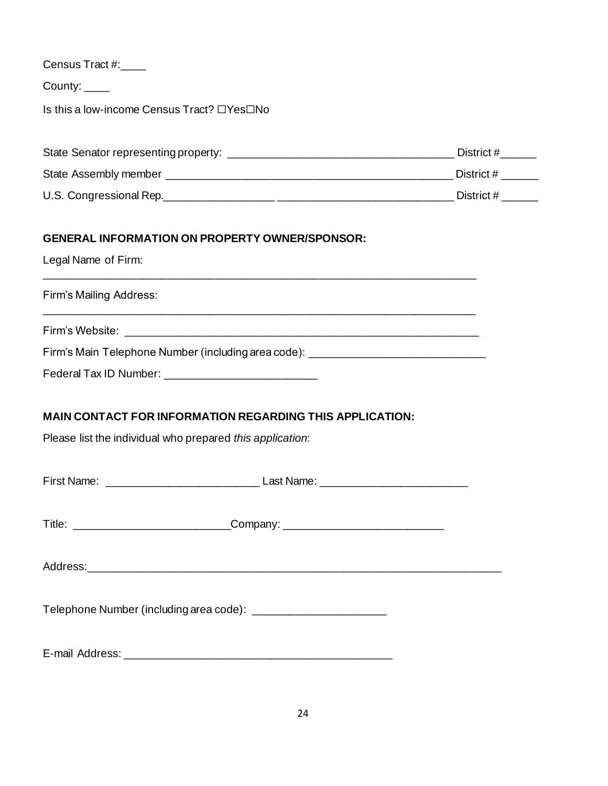| Census Tract #: |  |
|-----------------|--|
|-----------------|--|

County:

Is this a low-income Census Tract? ☐Yes☐No

| State Senator representing property: | District # |
|--------------------------------------|------------|
| State Assembly member                | District # |
| U.S. Congressional Rep.              | District # |

# **GENERAL INFORMATION ON PROPERTY OWNER/SPONSOR:**

Legal Name of Firm:

Firm's Mailing Address:

Firm's Website: \_\_\_\_\_\_\_\_\_\_\_\_\_\_\_\_\_\_\_\_\_\_\_\_\_\_\_\_\_\_\_\_\_\_\_\_\_\_\_\_\_\_\_\_\_\_\_\_\_\_\_\_\_\_\_\_\_\_

\_\_\_\_\_\_\_\_\_\_\_\_\_\_\_\_\_\_\_\_\_\_\_\_\_\_\_\_\_\_\_\_\_\_\_\_\_\_\_\_\_\_\_\_\_\_\_\_\_\_\_\_\_\_\_\_\_\_\_\_\_\_\_\_\_\_\_\_\_\_\_

\_\_\_\_\_\_\_\_\_\_\_\_\_\_\_\_\_\_\_\_\_\_\_\_\_\_\_\_\_\_\_\_\_\_\_\_\_\_\_\_\_\_\_\_\_\_\_\_\_\_\_\_\_\_\_\_\_\_\_\_\_\_\_\_\_\_\_\_\_\_\_

Firm's Main Telephone Number (including area code): \_\_\_\_\_\_\_\_\_\_\_\_\_\_\_\_\_\_\_\_\_\_\_\_\_\_\_\_

Federal Tax ID Number: \_\_\_\_\_\_\_\_\_\_\_\_\_\_\_\_\_\_\_\_\_\_\_\_\_

# **MAIN CONTACT FOR INFORMATION REGARDING THIS APPLICATION:**

Please list the individual who prepared *this application*:

| Title: __________________________________Company: ______________________________ |  |
|----------------------------------------------------------------------------------|--|
|                                                                                  |  |
| Telephone Number (including area code): ___________________________              |  |
|                                                                                  |  |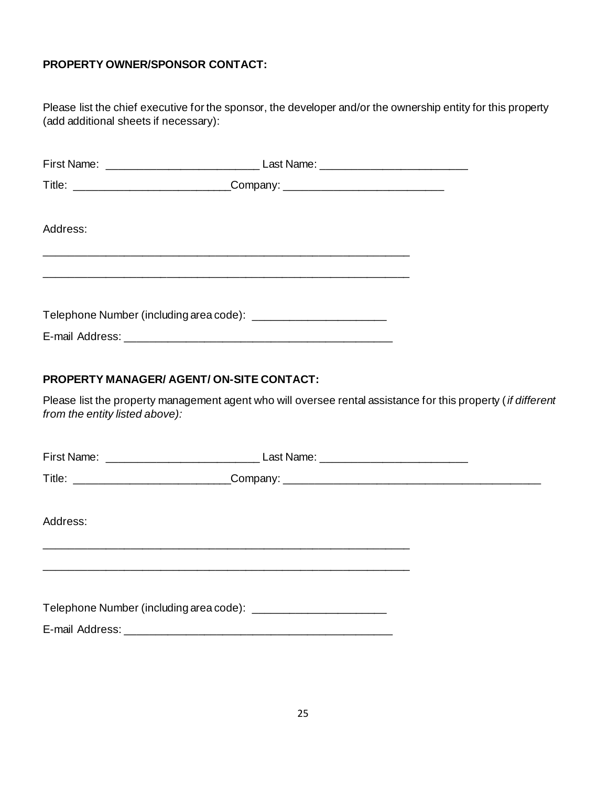### **PROPERTY OWNER/SPONSOR CONTACT:**

Please list the chief executive for the sponsor, the developer and/or the ownership entity for this property (add additional sheets if necessary):

|          | _Company: _______________________________                           |  |
|----------|---------------------------------------------------------------------|--|
| Address: |                                                                     |  |
|          | Telephone Number (including area code): ___________________________ |  |

# **PROPERTY MANAGER/ AGENT/ ON-SITE CONTACT:**

Please list the property management agent who will oversee rental assistance for this property (*if different from the entity listed above):* 

| Address: |                                                                    |  |
|----------|--------------------------------------------------------------------|--|
|          | Telephone Number (including area code): __________________________ |  |